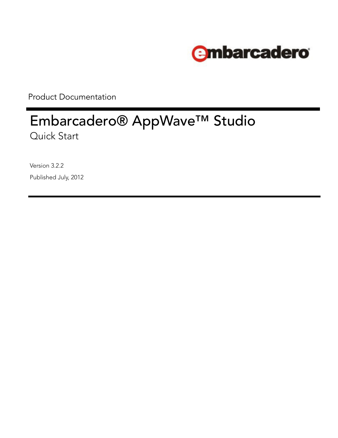

Product Documentation

# Embarcadero® AppWave™ Studio Quick Start

Version 3.2.2 Published July, 2012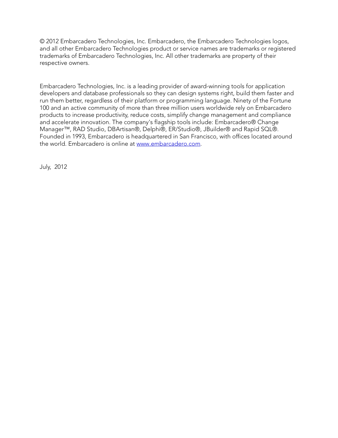© 2012 Embarcadero Technologies, Inc. Embarcadero, the Embarcadero Technologies logos, and all other Embarcadero Technologies product or service names are trademarks or registered trademarks of Embarcadero Technologies, Inc. All other trademarks are property of their respective owners.

Embarcadero Technologies, Inc. is a leading provider of award-winning tools for application [developers and database professionals so they can design systems right, build them faster and](http://www.embarcadero.com)  run them better, regardless of their platform or programming language. Ninety of the Fortune 100 and an active community of more than three million users worldwide rely on Embarcadero products to increase productivity, reduce costs, simplify change management and compliance and accelerate innovation. The company's flagship tools include: Embarcadero® Change Manager™, RAD Studio, DBArtisan®, Delphi®, ER/Studio®, JBuilder® and Rapid SQL®. Founded in 1993, Embarcadero is headquartered in San Francisco, with offices located around [the world. Embarcadero is online at w](http://www.embarcadero.com)ww.embarcadero.com.

July, 2012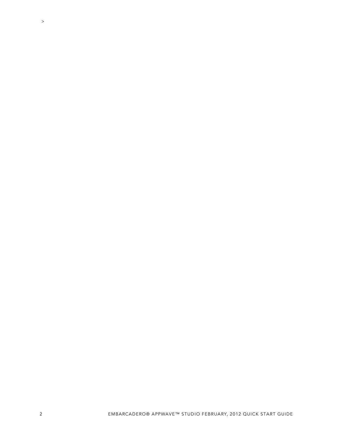$\, > \,$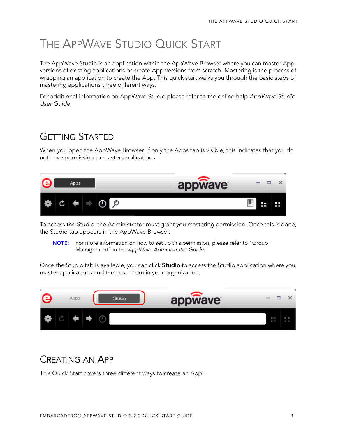# <span id="page-4-0"></span>THE APPWAVE STUDIO QUICK START

The AppWave Studio is an application within the AppWave Browser where you can master App versions of existing applications or create App versions from scratch. Mastering is the process of wrapping an application to create the App. This quick start walks you through the basic steps of mastering applications three different ways.

For additional information on AppWave Studio please refer to the online help AppWave Studio User Guide.

# <span id="page-4-1"></span>**GETTING STARTED**

When you open the AppWave Browser, if only the Apps tab is visible, this indicates that you do not have permission to master applications.



To access the Studio, the Administrator must grant you mastering permission. Once this is done, the Studio tab appears in the AppWave Browser.

Once the Studio tab is available, you can click **Studio** to access the Studio application where you master applications and then use them in your organization.



# <span id="page-4-2"></span>CREATING AN APP

<span id="page-4-4"></span>This Quick Start covers three different ways to create an App:

<span id="page-4-3"></span>**NOTE:** For more information on how to set up this permission, please refer to "Group Management" in the AppWave Administrator Guide.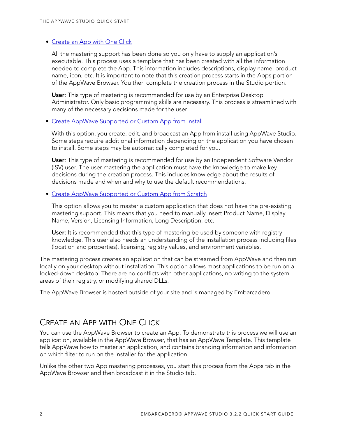#### • [Create an App with One Click](#page-5-0)

All the mastering support has been done so you only have to supply an application's executable. This process uses a template that has been created with all the information needed to complete the App. This information includes descriptions, display name, product name, icon, etc. It is important to note that this creation process starts in the Apps portion of the AppWave Browser. You then complete the creation process in the Studio portion.

<span id="page-5-1"></span>**User**: This type of mastering is recommended for use by an Enterprise Desktop Administrator. Only basic programming skills are necessary. This process is streamlined with many of the necessary decisions made for the user.

• [Create AppWave Supported or Custom App from Install](#page-14-0)

With this option, you create, edit, and broadcast an App from install using AppWave Studio. Some steps require additional information depending on the application you have chosen to install. Some steps may be automatically completed for you.

<span id="page-5-2"></span>**User**: This type of mastering is recommended for use by an Independent Software Vendor (ISV) user. The user mastering the application must have the knowledge to make key decisions during the creation process. This includes knowledge about the results of decisions made and when and why to use the default recommendations.

#### • [Create AppWave Supported or Custom App from Scratch](#page-26-0)

This option allows you to master a custom application that does not have the pre-existing mastering support. This means that you need to manually insert Product Name, Display Name, Version, Licensing Information, Long Description, etc.

<span id="page-5-3"></span>**User**: It is recommended that this type of mastering be used by someone with registry knowledge. This user also needs an understanding of the installation process including files (location and properties), licensing, registry values, and environment variables.

The mastering process creates an application that can be streamed from AppWave and then run locally on your desktop without installation. This option allows most applications to be run on a locked-down desktop. There are no conflicts with other applications, no writing to the system areas of their registry, or modifying shared DLLs.

The AppWave Browser is hosted outside of your site and is managed by Embarcadero.

## <span id="page-5-0"></span>CREATE AN APP WITH ONE CLICK

You can use the AppWave Browser to create an App. To demonstrate this process we will use an application, available in the AppWave Browser, that has an AppWave Template. This template tells AppWave how to master an application, and contains branding information and information on which filter to run on the installer for the application.

Unlike the other two App mastering processes, you start this process from the Apps tab in the AppWave Browser and then broadcast it in the Studio tab.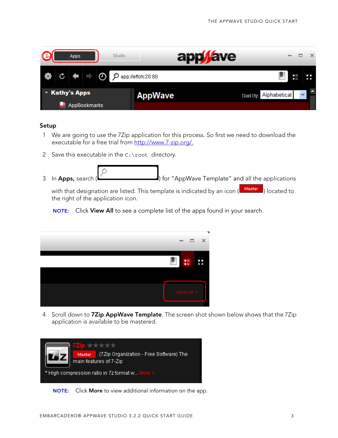| e | Apps                                 |  | <b>Studio</b>                                                                 | lave                  | $\times$             |
|---|--------------------------------------|--|-------------------------------------------------------------------------------|-----------------------|----------------------|
|   |                                      |  | $\mathcal{C} \in \mathcal{C}$ $\rightarrow$ 0 $\mathcal{P}$ app://ettotc20.80 | i<br>ī                | <b>STATE</b><br>. .  |
|   | <b>Exathy's Apps</b><br>AppBookmarks |  | <b>AppWave</b>                                                                | Sort By: Alphabetical | $\ddot{\phantom{1}}$ |

#### **Setup**

- <span id="page-6-1"></span>1 We are going to use the 7Zip application for this process. So first we need to download the executable for a free trial from [http://www.7-zip.org/.](http://www.7-zip.org/)
- 2 Save this executable in the C:\root directory.
- 

3 In Apps, search (**Constanting and all the applications**) for "AppWave Template" and all the applications

<span id="page-6-0"></span>with that designation are listed. This template is indicated by an icon (**Master 4**) located to the right of the application icon.

**NOTE:** Click **View All** to see a complete list of the apps found in your search.



4 Scroll down to **7Zip AppWave Template**. The screen shot shown below shows that the 7Zip application is available to be mastered.



**NOTE:** Click **More** to view additional information on the app.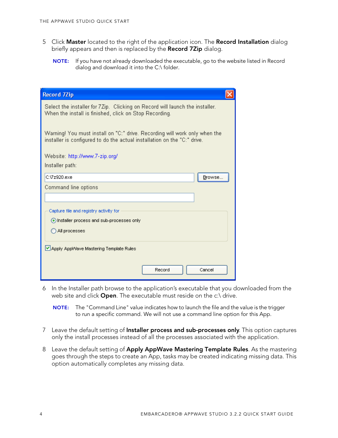- 5 Click **Master** located to the right of the application icon. The **Record Installation** dialog briefly appears and then is replaced by the **Record 7Zip** dialog.
	- **NOTE:** If you have not already downloaded the executable, go to the website listed in Record dialog and download it into the C:\ folder.

| <b>Record 7Zip</b>                                                                                                                                     |  |  |
|--------------------------------------------------------------------------------------------------------------------------------------------------------|--|--|
| Select the installer for 7Zip. Clicking on Record will launch the installer.<br>When the install is finished, click on Stop Recording.                 |  |  |
| Warning! You must install on "C:" drive. Recording will work only when the<br>installer is configured to do the actual installation on the "C:" drive. |  |  |
| Website: http://www.7-zip.org/                                                                                                                         |  |  |
| Installer path:                                                                                                                                        |  |  |
| C:\7z920.exe<br>Browse                                                                                                                                 |  |  |
| Command line options                                                                                                                                   |  |  |
|                                                                                                                                                        |  |  |
| Capture file and registry activity for                                                                                                                 |  |  |
| Installer process and sub-processes only                                                                                                               |  |  |
| All processes                                                                                                                                          |  |  |
| Apply AppWave Mastering Template Rules                                                                                                                 |  |  |
| Record<br>Cancel                                                                                                                                       |  |  |

- <span id="page-7-0"></span>6 In the Installer path browse to the application's executable that you downloaded from the web site and click **Open**. The executable must reside on the c:\ drive.
	- **NOTE:** The "Command Line" value indicates how to launch the file and the value is the trigger to run a specific command. We will not use a command line option for this App.
- 7 Leave the default setting of **Installer process and sub-processes only**. This option captures only the install processes instead of all the processes associated with the application.
- 8 Leave the default setting of **Apply AppWave Mastering Template Rules**. As the mastering goes through the steps to create an App, tasks may be created indicating missing data. This option automatically completes any missing data.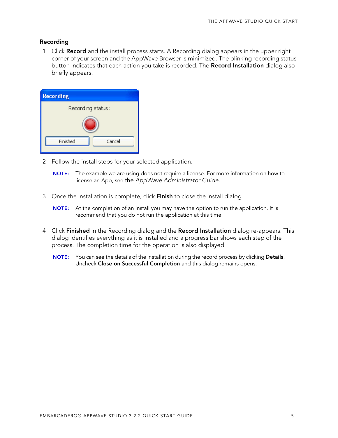#### <span id="page-8-0"></span>**Recording**

1 Click **Record** and the install process starts. A Recording dialog appears in the upper right corner of your screen and the AppWave Browser is minimized. The blinking recording status button indicates that each action you take is recorded. The **Record Installation** dialog also briefly appears.

| <b>Recording</b>  |        |  |  |
|-------------------|--------|--|--|
| Recording status: |        |  |  |
|                   |        |  |  |
| Finished          | Cancel |  |  |
|                   |        |  |  |

- 2 Follow the install steps for your selected application.
	- **NOTE:** The example we are using does not require a license. For more information on how to license an App, see the AppWave Administrator Guide.
- 3 Once the installation is complete, click **Finish** to close the install dialog.
	- **NOTE:** At the completion of an install you may have the option to run the application. It is recommend that you do not run the application at this time.
- 4 Click **Finished** in the Recording dialog and the **Record Installation** dialog re-appears. This dialog identifies everything as it is installed and a progress bar shows each step of the process. The completion time for the operation is also displayed.
	- **NOTE:** You can see the details of the installation during the record process by clicking **Details**. Uncheck **Close on Successful Completion** and this dialog remains opens.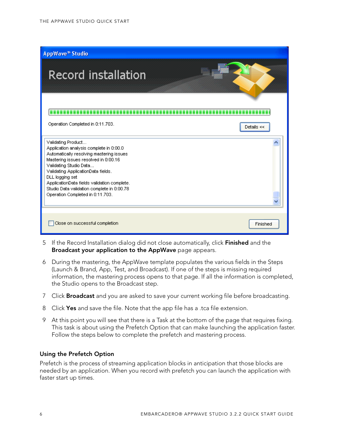

- 5 If the Record Installation dialog did not close automatically, click **Finished** and the **Broadcast your application to the AppWave** page appears.
- 6 During the mastering, the AppWave template populates the various fields in the Steps (Launch & Brand, App, Test, and Broadcast). If one of the steps is missing required information, the mastering process opens to that page. If all the information is completed, the Studio opens to the Broadcast step.
- <span id="page-9-0"></span>7 Click **Broadcast** and you are asked to save your current working file before broadcasting.
- 8 Click **Yes** and save the file. Note that the app file has a .tca file extension.
- 9 At this point you will see that there is a Task at the bottom of the page that requires fixing. This task is about using the Prefetch Option that can make launching the application faster. Follow the steps below to complete the prefetch and mastering process.

#### <span id="page-9-1"></span>**Using the Prefetch Option**

Prefetch is the process of streaming application blocks in anticipation that those blocks are needed by an application. When you record with prefetch you can launch the application with faster start up times.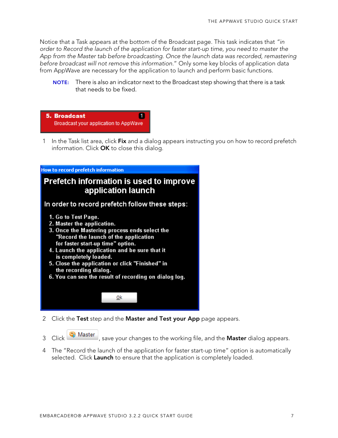<span id="page-10-3"></span>Notice that a Task appears at the bottom of the Broadcast page. This task indicates that "in order to Record the launch of the application for faster start-up time, you need to master the App from the Master tab before broadcasting. Once the launch data was recorded, remastering before broadcast will not remove this information." Only some key blocks of application data from AppWave are necessary for the application to launch and perform basic functions.

<span id="page-10-2"></span>**NOTE:** There is also an indicator next to the Broadcast step showing that there is a task that needs to be fixed.



- <span id="page-10-4"></span><span id="page-10-1"></span>2 Click the **Test** step and the **Master and Test your App** page appears.
- 3 Click , save your changes to the working file, and the **Master** dialog appears.
- <span id="page-10-0"></span>4 The "Record the launch of the application for faster start-up time" option is automatically selected. Click **Launch** to ensure that the application is completely loaded.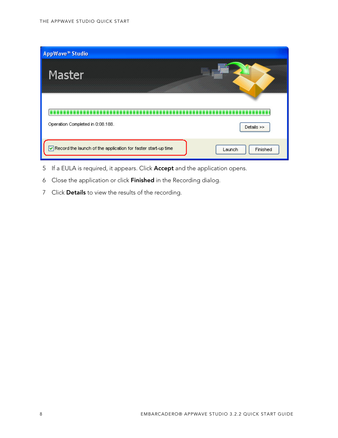| <b>AppWave<sup>™</sup> Studio</b>                             |                    |
|---------------------------------------------------------------|--------------------|
| Master                                                        |                    |
| Operation Completed in 0:08.188.                              | Details >>         |
| Record the launch of the application for faster start-up time | Finished<br>Launch |

- 5 If a EULA is required, it appears. Click **Accept** and the application opens.
- 6 Close the application or click **Finished** in the Recording dialog.
- 7 Click **Details** to view the results of the recording.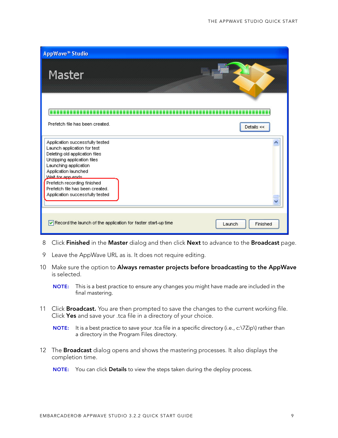| AppWave <sup>™</sup> Studio                                                                                                                                                                                                                                                                                 |
|-------------------------------------------------------------------------------------------------------------------------------------------------------------------------------------------------------------------------------------------------------------------------------------------------------------|
| Master                                                                                                                                                                                                                                                                                                      |
| Prefetch file has been created.<br>Details <<                                                                                                                                                                                                                                                               |
| Application successfully tested<br>Launch application for test<br>Deleting old application files<br>Unzipping application files<br>Launching application<br>Application launched<br>Wait for app ends.<br>Prefetch recording finished<br>Prefetch file has been created.<br>Application successfully tested |
| Record the launch of the application for faster start-up time<br>Finished<br>Launch                                                                                                                                                                                                                         |

- 8 Click **Finished** in the **Master** dialog and then click **Next** to advance to the **Broadcast** page.
- <span id="page-12-0"></span>9 Leave the AppWave URL as is. It does not require editing.
- 10 Make sure the option to **Always remaster projects before broadcasting to the AppWave** is selected.
	- **NOTE:** This is a best practice to ensure any changes you might have made are included in the final mastering.
- 11 Click **Broadcast.** You are then prompted to save the changes to the current working file. Click **Yes** and save your .tca file in a directory of your choice.
	- **NOTE:** It is a best practice to save your .tca file in a specific directory (i.e., c:\7Zip\) rather than a directory in the Program Files directory.
- 12 The **Broadcast** dialog opens and shows the mastering processes. It also displays the completion time.
	- **NOTE:** You can click **Details** to view the steps taken during the deploy process.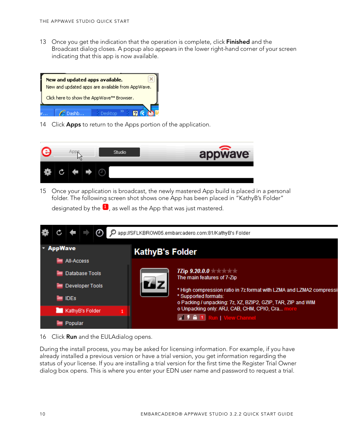13 Once you get the indication that the operation is complete, click **Finished** and the Broadcast dialog closes. A popup also appears in the lower right-hand corner of your screen indicating that this app is now available.



14 Click **Apps** to return to the Apps portion of the application.



15 Once your application is broadcast, the newly mastered App build is placed in a personal folder. The following screen shot shows one App has been placed in "KathyB's Folder" designated by the  $\mathbf 1$ , as well as the App that was just mastered.



16 Click **Run** and the EULAdialog opens.

<span id="page-13-3"></span><span id="page-13-2"></span><span id="page-13-1"></span><span id="page-13-0"></span>During the install process, you may be asked for licensing information. For example, if you have already installed a previous version or have a trial version, you get information regarding the status of your license. If you are installing a trial version for the first time the Register Trial Owner dialog box opens. This is where you enter your EDN user name and password to request a trial.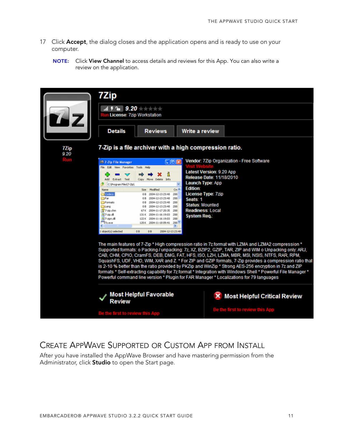- 17 Click **Accept**, the dialog closes and the application opens and is ready to use on your computer.
	- **NOTE:** Click **View Channel** to access details and reviews for this App. You can also write a review on the application.



# <span id="page-14-0"></span>CREATE APPWAVE SUPPORTED OR CUSTOM APP FROM INSTALL

After you have installed the AppWave Browser and have mastering permission from the Administrator, click **Studio** to open the Start page.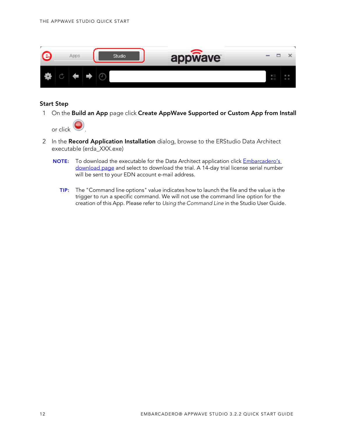

#### **Start Step**

1 On the **Build an App** page click **Create AppWave Supported or Custom App from Install** 

<span id="page-15-0"></span>

- 2 In the **Record Application Installation** dialog, browse to the ERStudio Data Architect executable (erda\_XXX.exe)
	- NOTE: To download the executable for the Data Architect application click **Embarcadero's** [download page](https://downloads.embarcadero.com/free/) and select to download the trial. A 14-day trial license serial number will be sent to your EDN account e-mail address.
		- **TIP:** The "Command line options" value indicates how to launch the file and the value is the trigger to run a specific command. We will not use the command line option for the creation of this App. Please refer to Using the Command Line in the Studio User Guide.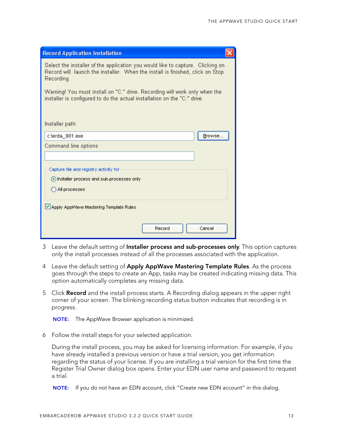| <b>Record Application Installation</b>                                                                                                                                         |  |  |
|--------------------------------------------------------------------------------------------------------------------------------------------------------------------------------|--|--|
| Select the installer of the application you would like to capture. Clicking on<br>Record will launch the installer. When the install is finished, click on Stop.<br>Recording. |  |  |
| Warning! You must install on "C:" drive. Recording will work only when the<br>installer is configured to do the actual installation on the "C:" drive.                         |  |  |
| Installer path:                                                                                                                                                                |  |  |
| c:\erda_901.exe<br>Browse                                                                                                                                                      |  |  |
| Command line options                                                                                                                                                           |  |  |
|                                                                                                                                                                                |  |  |
| Capture file and registry activity for                                                                                                                                         |  |  |
| Installer process and sub-processes only                                                                                                                                       |  |  |
| All processes                                                                                                                                                                  |  |  |
| Apply AppWave Mastering Template Rules                                                                                                                                         |  |  |
| Record<br>Cancel                                                                                                                                                               |  |  |

- 3 Leave the default setting of **Installer process and sub-processes only**. This option captures only the install processes instead of all the processes associated with the application.
- 4 Leave the default setting of **Apply AppWave Mastering Template Rules**. As the process goes through the steps to create an App, tasks may be created indicating missing data. This option automatically completes any missing data.
- 5 Click **Record** and the install process starts. A Recording dialog appears in the upper right corner of your screen. The blinking recording status button indicates that recording is in progress.

**NOTE:** The AppWave Browser application is minimized.

6 Follow the install steps for your selected application.

During the install process, you may be asked for licensing information. For example, if you have already installed a previous version or have a trial version, you get information regarding the status of your license. If you are installing a trial version for the first time the Register Trial Owner dialog box opens. Enter your EDN user name and password to request a trial.

**NOTE:** If you do not have an EDN account, click "Create new EDN account" in this dialog.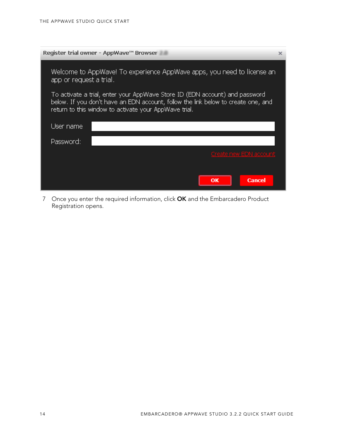| Register trial owner - AppWave™ Browser                                                                                                                                                                                   | $\times$ |
|---------------------------------------------------------------------------------------------------------------------------------------------------------------------------------------------------------------------------|----------|
| Welcome to AppWave! To experience AppWave apps, you need to license an<br>app or request a trial.                                                                                                                         |          |
| To activate a trial, enter your AppWave Store ID (EDN account) and password<br>below. If you don't have an EDN account, follow the link below to create one, and<br>return to this window to activate your AppWave trial. |          |
| User name                                                                                                                                                                                                                 |          |
| Password:                                                                                                                                                                                                                 |          |
| Create new EDN account                                                                                                                                                                                                    |          |
| ок<br>Cancel                                                                                                                                                                                                              |          |

<span id="page-17-0"></span>7 Once you enter the required information, click **OK** and the Embarcadero Product Registration opens.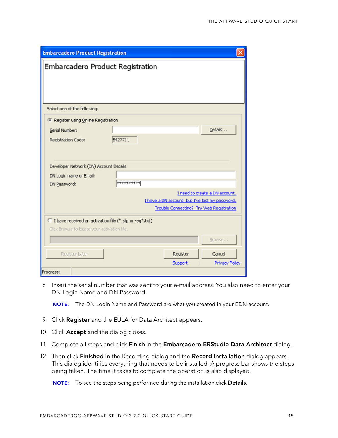| <b>Embarcadero Product Registration</b>                      |            |                                                 |                                |
|--------------------------------------------------------------|------------|-------------------------------------------------|--------------------------------|
| Embarcadero Product Registration                             |            |                                                 |                                |
|                                                              |            |                                                 |                                |
|                                                              |            |                                                 |                                |
|                                                              |            |                                                 |                                |
| Select one of the following:                                 |            |                                                 |                                |
| Register using Online Registration                           |            |                                                 |                                |
| Serial Number:                                               |            |                                                 | Details                        |
| Registration Code:                                           | 5427711    |                                                 |                                |
|                                                              |            |                                                 |                                |
|                                                              |            |                                                 |                                |
| Developer Network (DN) Account Details:                      |            |                                                 |                                |
| DN Login name or Email:<br>DN Password:                      | ********** |                                                 |                                |
|                                                              |            |                                                 | I need to create a DN account. |
|                                                              |            | I have a DN account, but I've lost my password. |                                |
|                                                              |            | Trouble Connecting? Try Web Registration        |                                |
| (ii) I have received an activation file (*.slip or reg*.txt) |            |                                                 |                                |
| Click Browse to locate your activation file.                 |            |                                                 |                                |
|                                                              |            |                                                 | Browse                         |
| Register Later                                               |            | Register                                        | Cancel                         |
|                                                              |            | Support                                         | <b>Privacy Policy</b>          |
| Progress:                                                    |            |                                                 |                                |

8 Insert the serial number that was sent to your e-mail address. You also need to enter your DN Login Name and DN Password.

<span id="page-18-0"></span>**NOTE:** The DN Login Name and Password are what you created in your EDN account.

- 9 Click **Register** and the EULA for Data Architect appears.
- 10 Click **Accept** and the dialog closes.
- 11 Complete all steps and click **Finish** in the **Embarcadero ERStudio Data Architect** dialog.
- 12 Then click **Finished** in the Recording dialog and the **Record installation** dialog appears. This dialog identifies everything that needs to be installed. A progress bar shows the steps being taken. The time it takes to complete the operation is also displayed.

**NOTE:** To see the steps being performed during the installation click **Details**.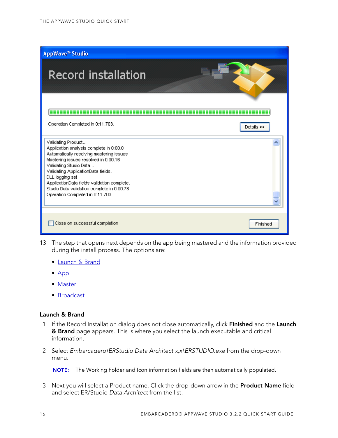| AppWave <sup>™</sup> Studio                                                                                                                                                            |            |
|----------------------------------------------------------------------------------------------------------------------------------------------------------------------------------------|------------|
| Record installation                                                                                                                                                                    |            |
|                                                                                                                                                                                        |            |
| Operation Completed in 0:11.703.<br>Validating Product                                                                                                                                 | Details << |
| Application analysis complete in 0:00.0<br>Automatically resolving mastering issues<br>Mastering issues resolved in 0:00.16<br>Validating Studio Data                                  |            |
| Validating ApplicationData fields.<br>DLL logging set<br>ApplicationData fields validation complete.<br>Studio Data validation complete in 0:00.78<br>Operation Completed in 0:11.703. |            |
|                                                                                                                                                                                        |            |
| Close on successful completion                                                                                                                                                         | Finished   |

- 13 The step that opens next depends on the app being mastered and the information provided during the install process. The options are:
	- [Launch & Brand](#page-19-0)
	- [App](#page-20-0)
	- Master
	- [Broadcast](#page-21-0)

#### <span id="page-19-1"></span><span id="page-19-0"></span>**Launch & Brand**

- 1 If the Record Installation dialog does not close automatically, click **Finished** and the **Launch & Brand** page appears. This is where you select the launch executable and critical information.
- 2 Select Embarcadero\ERStudio Data Architect x,x\ERSTUDIO.exe from the drop-down menu.

**NOTE:** The Working Folder and Icon information fields are then automatically populated.

3 Next you will select a Product name. Click the drop-down arrow in the **Product Name** field and select ER/Studio Data Architect from the list.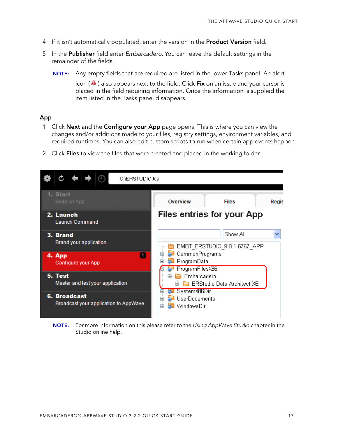- 4 If it isn't automatically populated, enter the version in the **Product Version** field.
- 5 In the **Publisher** field enter Embarcadero. You can leave the default settings in the remainder of the fields.
	- **NOTE:** Any empty fields that are required are listed in the lower Tasks panel. An alert

icon  $(\triangle)$  also appears next to the field. Click Fix on an issue and your cursor is placed in the field requiring information. Once the information is supplied the item listed in the Tasks panel disappears.

#### <span id="page-20-0"></span>**App**

- 1 Click **Next** and the **Configure your App** page opens. This is where you can view the changes and/or additions made to your files, registry settings, environment variables, and required runtimes. You can also edit custom scripts to run when certain app events happen.
- 2 Click **Files** to view the files that were created and placed in the working folder.



**NOTE:** For more information on this please refer to the Using AppWave Studio chapter in the Studio online help.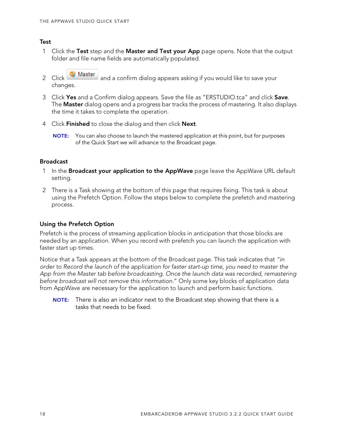#### **Test**

- 1 Click the **Test** step and the **Master and Test your App** page opens. Note that the output folder and file name fields are automatically populated.
- 2 Click **G** Master and a confirm dialog appears asking if you would like to save your changes.
- 3 Click **Yes** and a Confirm dialog appears. Save the file as "ERSTUDIO.tca" and click **Save**. The **Master** dialog opens and a progress bar tracks the process of mastering. It also displays the time it takes to complete the operation.
- 4 Click **Finished** to close the dialog and then click **Next**.
	- **NOTE:** You can also choose to launch the mastered application at this point, but for purposes of the Quick Start we will advance to the Broadcast page.

#### <span id="page-21-0"></span>**Broadcast**

- 1 In the **Broadcast your application to the AppWave** page leave the AppWave URL default setting.
- 2 There is a Task showing at the bottom of this page that requires fixing. This task is about using the Prefetch Option. Follow the steps below to complete the prefetch and mastering process.

#### **Using the Prefetch Option**

Prefetch is the process of streaming application blocks in anticipation that those blocks are needed by an application. When you record with prefetch you can launch the application with faster start up times.

Notice that a Task appears at the bottom of the Broadcast page. This task indicates that "in order to Record the launch of the application for faster start-up time, you need to master the App from the Master tab before broadcasting. Once the launch data was recorded, remastering before broadcast will not remove this information." Only some key blocks of application data from AppWave are necessary for the application to launch and perform basic functions.

**NOTE:** There is also an indicator next to the Broadcast step showing that there is a tasks that needs to be fixed.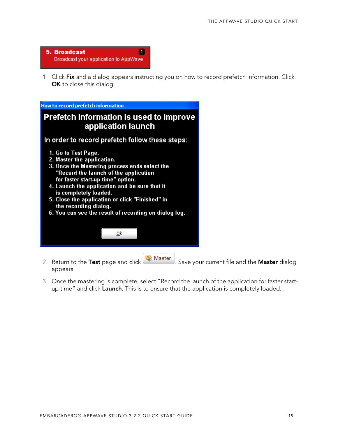

<span id="page-22-0"></span>1 Click **Fix** and a dialog appears instructing you on how to record prefetch information. Click **OK** to close this dialog.



- 2 Return to the **Test** page and click **3** Master . Save your current file and the **Master** dialog appears.
- 3 Once the mastering is complete, select "Record the launch of the application for faster startup time" and click **Launch**. This is to ensure that the application is completely loaded.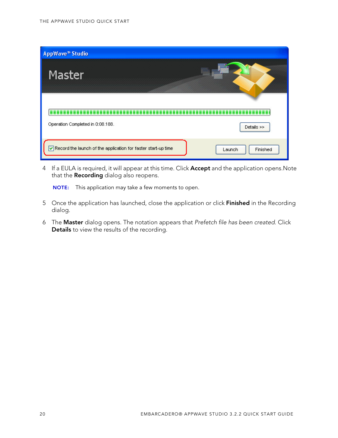| AppWave <sup>™</sup> Studio                                   |                    |
|---------------------------------------------------------------|--------------------|
| Master                                                        |                    |
| Operation Completed in 0:08.188.                              | Details >>         |
| Record the launch of the application for faster start-up time | Finished<br>Launch |

4 If a EULA is required, it will appear at this time. Click **Accept** and the application opens.Note that the **Recording** dialog also reopens.

**NOTE:** This application may take a few moments to open.

- 5 Once the application has launched, close the application or click **Finished** in the Recording dialog.
- 6 The **Master** dialog opens. The notation appears that Prefetch file has been created. Click **Details** to view the results of the recording.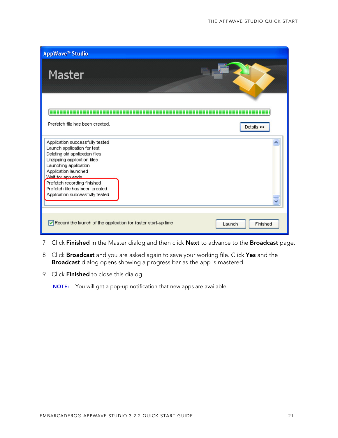| AppWave <sup>™</sup> Studio                                                                                                                                                                                                                                                                                |
|------------------------------------------------------------------------------------------------------------------------------------------------------------------------------------------------------------------------------------------------------------------------------------------------------------|
| Master                                                                                                                                                                                                                                                                                                     |
| Prefetch file has been created.<br>Details <<                                                                                                                                                                                                                                                              |
| Application successfully tested<br>Launch application for test<br>Deleting old application files<br>Unzipping application files<br>Launching application<br>Application launched<br>Wait for app ends<br>Prefetch recording finished<br>Prefetch file has been created.<br>Application successfully tested |
| Record the launch of the application for faster start-up time<br>Finished<br>Launch                                                                                                                                                                                                                        |

- 7 Click **Finished** in the Master dialog and then click **Next** to advance to the **Broadcast** page.
- 8 Click **Broadcast** and you are asked again to save your working file. Click **Yes** and the **Broadcast** dialog opens showing a progress bar as the app is mastered.
- 9 Click **Finished** to close this dialog.

**NOTE:** You will get a pop-up notification that new apps are available.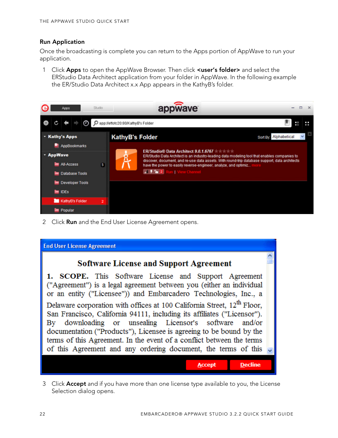#### **Run Application**

Once the broadcasting is complete you can return to the Apps portion of AppWave to run your application.

1 Click **Apps** to open the AppWave Browser. Then click **<user's folder>** and select the ERStudio Data Architect application from your folder in AppWave. In the following example the ER/Studio Data Architect x.x App appears in the KathyB's folder.



2 Click **Run** and the End User License Agreement opens.



3 Click **Accept** and if you have more than one license type available to you, the License Selection dialog opens.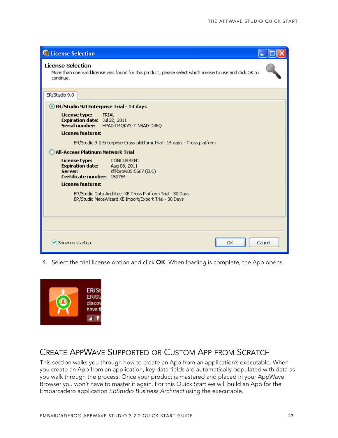| <b>Q</b> License Selection                                                        |                                                                                                                     |
|-----------------------------------------------------------------------------------|---------------------------------------------------------------------------------------------------------------------|
| <b>License Selection</b><br>continue.                                             | More than one valid license was found for this product, please select which license to use and click OK to          |
| ER/Studio 9.0                                                                     |                                                                                                                     |
| ER/Studio 9.0 Enterprise Trial - 14 days                                          |                                                                                                                     |
| License type:<br>Expiration date: Jul 22, 2011<br>Serial number:                  | <b>TRIAL</b><br>HPAD-D4QKVS-7LNBAD-D35Q                                                                             |
| License features:                                                                 |                                                                                                                     |
|                                                                                   | ER/Studio 9.0 Enterprise Cross platform Trial - 14 days - Cross platform                                            |
| <b>All-Access Platinum Network Trial</b>                                          |                                                                                                                     |
| License type:<br><b>Expiration date:</b><br>Server:<br>Certificate number: 150754 | <b>CONCURRENT</b><br>Aug 08, 2011<br>sflkbrow05:5567 (ELC)                                                          |
| <b>License features:</b>                                                          |                                                                                                                     |
|                                                                                   | ER/Studio Data Architect XE Cross Platform Trial - 30 Days<br>ER/Studio MetaWizard XE Import/Export Trial - 30 Days |
|                                                                                   |                                                                                                                     |
| Show on startup                                                                   | Cancel<br>ОК                                                                                                        |

4 Select the trial license option and click **OK**. When loading is complete, the App opens.



## <span id="page-26-0"></span>CREATE APPWAVE SUPPORTED OR CUSTOM APP FROM SCRATCH

This section walks you through how to create an App from an application's executable. When you create an App from an application, key data fields are automatically populated with data as you walk through the process. Once your product is mastered and placed in your AppWave Browser you won't have to master it again. For this Quick Start we will build an App for the Embarcadero application ERStudio Business Architect using the executable.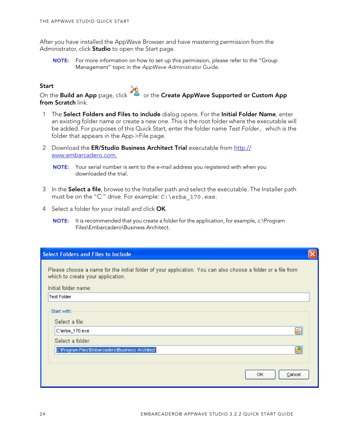After you have installed the AppWave Browser and have mastering permission from the Administrator, click **Studio** to open the Start page.

**NOTE:** For more information on how to set up this permission, please refer to the "Group Management" topic in the AppWave Administrator Guide.

#### **Start**



On the **Build an App** page, click or the **Create AppWave Supported or Custom App from Scratch** link.

- 1 The **Select Folders and Files to include** dialog opens. For the **Initial Folder Name**, enter an existing folder name or create a new one. This is the root folder where the executable will be added. For purposes of this Quick Start, enter the folder name Test Folder, which is the folder that appears in the App->File page.
- 2 Download the **ER/Studio Business Architect Trial** executable from [http://](https://downloads.embarcadero.com/free/) [www.embarcadero.com.](https://downloads.embarcadero.com/free/)
	- **NOTE:** Your serial number is sent to the e-mail address you registered with when you downloaded the trial.
- 3 In the **Select a file**, browse to the Installer path and select the executable. The Installer path must be on the "C:" drive. For example:  $C:\emptyset$ rba 170.exe.
- 4 Select a folder for your install and click **OK**.
	- **NOTE:** It is recommended that you create a folder for the application, for example, c:\Program Files\Embarcadero\Business Architect.

| <b>Select Folders and Files to include</b>                                                                                                        |
|---------------------------------------------------------------------------------------------------------------------------------------------------|
| Please choose a name for the initial folder of your application. You can also choose a folder or a file from<br>which to create your application. |
| Initial folder name:                                                                                                                              |
| <b>Test Folder</b>                                                                                                                                |
| Start with:<br>Select a file:<br>Я<br>C:\erba_170.exe                                                                                             |
| Select a folder:                                                                                                                                  |
| e<br>C:\Program Files\Embarcadero\Business Architect                                                                                              |
| Cancel<br>OK.                                                                                                                                     |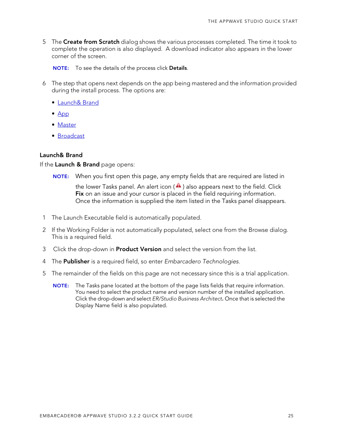5 The **Create from Scratch** dialog shows the various processes completed. The time it took to complete the operation is also displayed. A download indicator also appears in the lower corner of the screen.

**NOTE:** To see the details of the process click **Details**.

- 6 The step that opens next depends on the app being mastered and the information provided during the install process. The options are:
	- [Launch& Brand](#page-28-0)
	- [App](#page-29-0)
	- [Master](#page-29-1)
	- [Broadcast](#page-30-0)

#### <span id="page-28-0"></span>**Launch& Brand**

#### If the **Launch & Brand** page opens:

**NOTE:** When you first open this page, any empty fields that are required are listed in

the lower Tasks panel. An alert icon  $($ **A**) also appears next to the field. Click **Fix** on an issue and your cursor is placed in the field requiring information. Once the information is supplied the item listed in the Tasks panel disappears.

- 1 The Launch Executable field is automatically populated.
- 2 If the Working Folder is not automatically populated, select one from the Browse dialog. This is a required field.
- 3 Click the drop-down in **Product Version** and select the version from the list.
- 4 The **Publisher** is a required field, so enter Embarcadero Technologies.
- 5 The remainder of the fields on this page are not necessary since this is a trial application.
	- **NOTE:** The Tasks pane located at the bottom of the page lists fields that require information. You need to select the product name and version number of the installed application. Click the drop-down and select ER/Studio Business Architect**.** Once that is selected the Display Name field is also populated.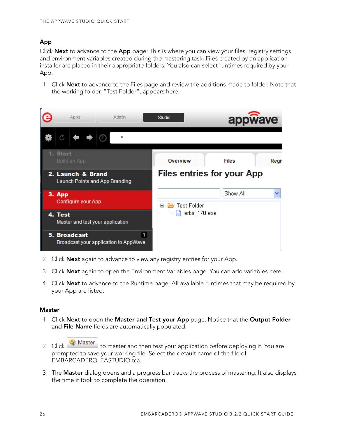#### <span id="page-29-0"></span>**App**

Click **Next** to advance to the **App** page: This is where you can view your files, registry settings and environment variables created during the mastering task. Files created by an application installer are placed in their appropriate folders. You also can select runtimes required by your App.

1 Click **Next** to advance to the Files page and review the additions made to folder. Note that the working folder, "Test Folder", appears here.



- 2 Click **Next** again to advance to view any registry entries for your App.
- 3 Click **Next** again to open the Environment Variables page. You can add variables here.
- 4 Click **Next** to advance to the Runtime page. All available runtimes that may be required by your App are listed.

#### <span id="page-29-1"></span>**Master**

- 1 Click **Next** to open the **Master and Test your App** page. Notice that the **Output Folder** and **File Name** fields are automatically populated.
- 2 Click **T** Master to master and then test your application before deploying it. You are prompted to save your working file. Select the default name of the file of EMBARCADERO\_EASTUDIO.tca.
- 3 The **Master** dialog opens and a progress bar tracks the process of mastering. It also displays the time it took to complete the operation.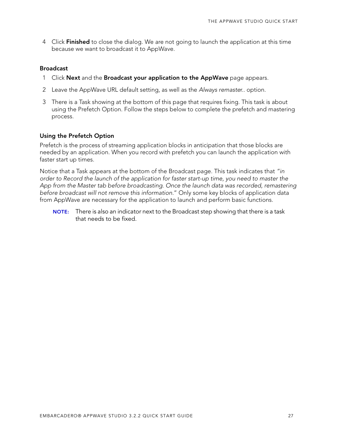4 Click **Finished** to close the dialog. We are not going to launch the application at this time because we want to broadcast it to AppWave.

#### <span id="page-30-0"></span>**Broadcast**

- 1 Click **Next** and the **Broadcast your application to the AppWave** page appears.
- 2 Leave the AppWave URL default setting, as well as the Always remaster.. option.
- 3 There is a Task showing at the bottom of this page that requires fixing. This task is about using the Prefetch Option. Follow the steps below to complete the prefetch and mastering process.

#### **Using the Prefetch Option**

Prefetch is the process of streaming application blocks in anticipation that those blocks are needed by an application. When you record with prefetch you can launch the application with faster start up times.

Notice that a Task appears at the bottom of the Broadcast page. This task indicates that "in order to Record the launch of the application for faster start-up time, you need to master the App from the Master tab before broadcasting. Once the launch data was recorded, remastering before broadcast will not remove this information." Only some key blocks of application data from AppWave are necessary for the application to launch and perform basic functions.

**NOTE:** There is also an indicator next to the Broadcast step showing that there is a task that needs to be fixed.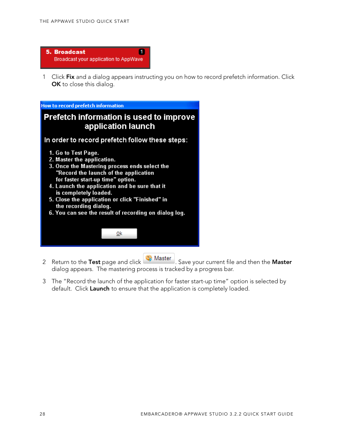

<span id="page-31-0"></span>1 Click **Fix** and a dialog appears instructing you on how to record prefetch information. Click **OK** to close this dialog.



- 2 Return to the **Test** page and click **3** Master . Save your current file and then the **Master** dialog appears. The mastering process is tracked by a progress bar.
- 3 The "Record the launch of the application for faster start-up time" option is selected by default. Click **Launch** to ensure that the application is completely loaded.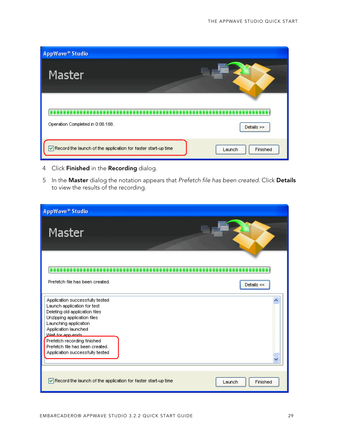| <b>AppWave<sup>™</sup> Studio</b>                                                   |  |  |
|-------------------------------------------------------------------------------------|--|--|
| Master                                                                              |  |  |
| Operation Completed in 0:08.188.<br>Details >>                                      |  |  |
| Record the launch of the application for faster start-up time<br>Finished<br>Launch |  |  |

- 4 Click **Finished** in the **Recording** dialog.
- 5 In the **Master** dialog the notation appears that Prefetch file has been created. Click **Details** to view the results of the recording.

| AppWave <sup>™</sup> Studio                                                                                                                                                                                                                                                                                |  |  |  |
|------------------------------------------------------------------------------------------------------------------------------------------------------------------------------------------------------------------------------------------------------------------------------------------------------------|--|--|--|
| Master                                                                                                                                                                                                                                                                                                     |  |  |  |
| Prefetch file has been created.<br>Details <<                                                                                                                                                                                                                                                              |  |  |  |
| Application successfully tested<br>Launch application for test<br>Deleting old application files<br>Unzipping application files<br>Launching application<br>Application launched<br>Wait for app ends<br>Prefetch recording finished<br>Prefetch file has been created.<br>Application successfully tested |  |  |  |
| Record the launch of the application for faster start-up time<br>Finished<br>Launch                                                                                                                                                                                                                        |  |  |  |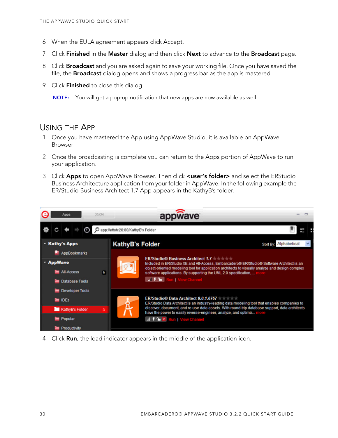- 6 When the EULA agreement appears click Accept.
- 7 Click **Finished** in the **Master** dialog and then click **Next** to advance to the **Broadcast** page.
- 8 Click **Broadcast** and you are asked again to save your working file. Once you have saved the file, the **Broadcast** dialog opens and shows a progress bar as the app is mastered.
- 9 Click **Finished** to close this dialog.

**NOTE:** You will get a pop-up notification that new apps are now available as well.

### <span id="page-33-0"></span>USING THE APP

- 1 Once you have mastered the App using AppWave Studio, it is available on AppWave Browser.
- 2 Once the broadcasting is complete you can return to the Apps portion of AppWave to run your application.
- 3 Click **Apps** to open AppWave Browser. Then click **<user's folder>** and select the ERStudio Business Architecture application from your folder in AppWave. In the following example the ER/Studio Business Architect 1.7 App appears in the KathyB's folder.



4 Click **Run**, the load indicator appears in the middle of the application icon.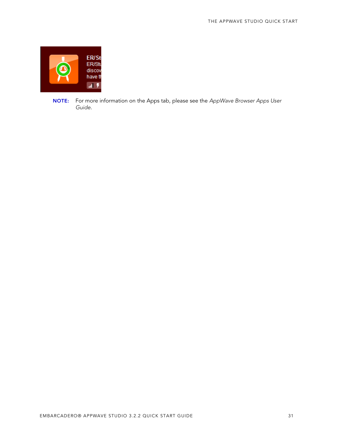

**NOTE:** For more information on the Apps tab, please see the AppWave Browser Apps User Guide.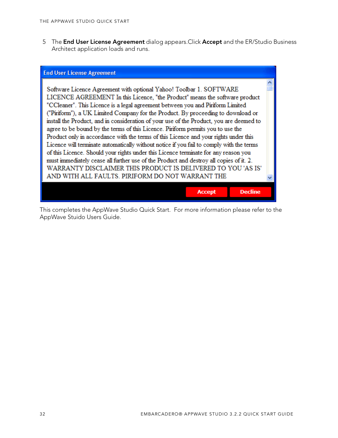5 The **End User License Agreement** dialog appears.Click **Accept** and the ER/Studio Business Architect application loads and runs.

#### **End User License Agreement**

۸ Software Licence Agreement with optional Yahoo! Toolbar 1. SOFTWARE LICENCE AGREEMENT In this Licence, "the Product" means the software product "CCleaner". This Licence is a legal agreement between you and Piriform Limited ("Piriform"), a UK Limited Company for the Product. By proceeding to download or install the Product, and in consideration of your use of the Product, you are deemed to agree to be bound by the terms of this Licence. Piriform permits you to use the Product only in accordance with the terms of this Licence and your rights under this Licence will terminate automatically without notice if you fail to comply with the terms of this Licence. Should your rights under this Licence terminate for any reason you must immediately cease all further use of the Product and destroy all copies of it. 2. WARRANTY DISCLAIMER THIS PRODUCT IS DELIVERED TO YOU 'AS IS' AND WITH ALL FAULTS. PIRIFORM DO NOT WARRANT THE

**Accept** 

**Decline** 

This completes the AppWave Studio Quick Start. For more information please refer to the AppWave Stuido Users Guide.